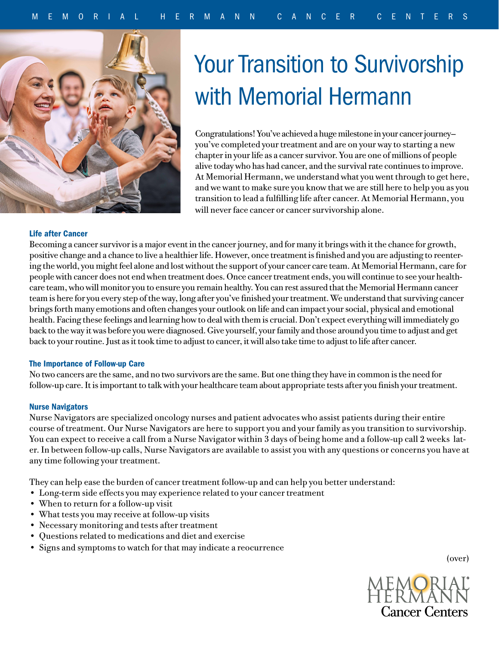

# **Your Transition to Survivorship** with Memorial Hermann

Congratulations! You've achieved a huge milestone in your cancer journey you've completed your treatment and are on your way to starting a new chapter in your life as a cancer survivor. You are one of millions of people alive today who has had cancer, and the survival rate continues to improve. At Memorial Hermann, we understand what you went through to get here, and we want to make sure you know that we are still here to help you as you transition to lead a fulfilling life after cancer. At Memorial Hermann, you will never face cancer or cancer survivorship alone.

# Life after Cancer

Becoming a cancer survivor is a major event in the cancer journey, and for many it brings with it the chance for growth, positive change and a chance to live a healthier life. However, once treatment is finished and you are adjusting to reentering the world, you might feel alone and lost without the support of your cancer care team. At Memorial Hermann, care for people with cancer does not end when treatment does. Once cancer treatment ends, you will continue to see your healthcare team, who will monitor you to ensure you remain healthy. You can rest assured that the Memorial Hermann cancer team is here for you every step of the way, long after you've finished your treatment. We understand that surviving cancer brings forth many emotions and often changes your outlook on life and can impact your social, physical and emotional health. Facing these feelings and learning how to deal with them is crucial. Don't expect everything will immediately go back to the way it was before you were diagnosed. Give yourself, your family and those around you time to adjust and get back to your routine. Just as it took time to adjust to cancer, it will also take time to adjust to life after cancer.

#### The Importance of Follow-up Care

No two cancers are the same, and no two survivors are the same. But one thing they have in common is the need for follow-up care. It is important to talk with your healthcare team about appropriate tests after you finish your treatment.

#### Nurse Navigators

Nurse Navigators are specialized oncology nurses and patient advocates who assist patients during their entire course of treatment. Our Nurse Navigators are here to support you and your family as you transition to survivorship. You can expect to receive a call from a Nurse Navigator within 3 days of being home and a follow-up call 2 weeks later. In between follow-up calls, Nurse Navigators are available to assist you with any questions or concerns you have at any time following your treatment.

They can help ease the burden of cancer treatment follow-up and can help you better understand:

- Long-term side effects you may experience related to your cancer treatment
- When to return for a follow-up visit
- What tests you may receive at follow-up visits
- Necessary monitoring and tests after treatment
- Questions related to medications and diet and exercise
- Signs and symptoms to watch for that may indicate a reocurrence

(over)